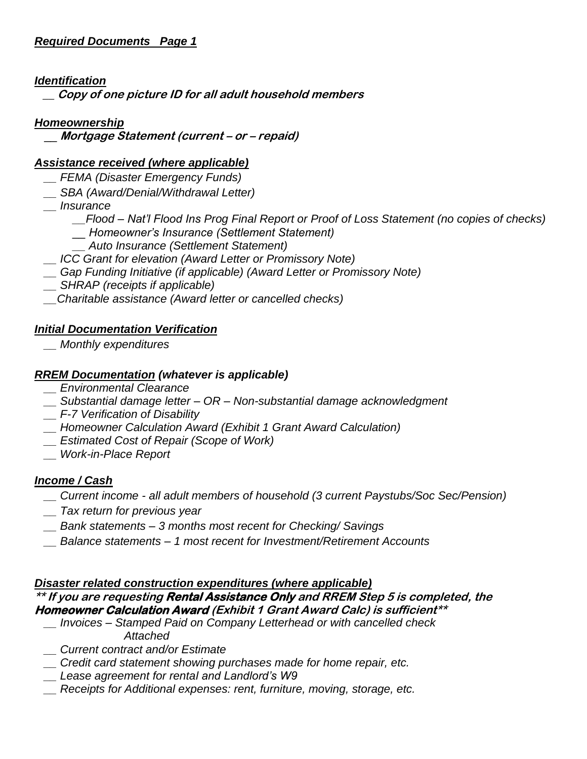### *Identification*

 **\_\_ Copy of one picture ID for all adult household members**

### *Homeownership*

\_\_ **Mortgage Statement (current – or – repaid)**

### *Assistance received (where applicable)*

- *\_\_ FEMA (Disaster Emergency Funds)*
- *\_\_ SBA (Award/Denial/Withdrawal Letter)*
- *\_\_ Insurance* 
	- *\_\_Flood – Nat'l Flood Ins Prog Final Report or Proof of Loss Statement (no copies of checks) \_\_ Homeowner's Insurance (Settlement Statement)*
	- *\_\_ Auto Insurance (Settlement Statement)*
- *\_\_ ICC Grant for elevation (Award Letter or Promissory Note)*
- *\_\_ Gap Funding Initiative (if applicable) (Award Letter or Promissory Note)*
- *\_\_ SHRAP (receipts if applicable)*
- *\_\_Charitable assistance (Award letter or cancelled checks)*

#### *Initial Documentation Verification*

 *\_\_ Monthly expenditures*

#### *RREM Documentation (whatever is applicable)*

- *\_\_ Environmental Clearance*
- *\_\_ Substantial damage letter – OR – Non-substantial damage acknowledgment*
- *\_\_ F-7 Verification of Disability*
- *\_\_ Homeowner Calculation Award (Exhibit 1 Grant Award Calculation)*
- *\_\_ Estimated Cost of Repair (Scope of Work)*
- *\_\_ Work-in-Place Report*

#### *Income / Cash*

- *\_\_ Current income - all adult members of household (3 current Paystubs/Soc Sec/Pension)*
- *\_\_ Tax return for previous year*
- *\_\_ Bank statements – 3 months most recent for Checking/ Savings*
- *\_\_ Balance statements – 1 most recent for Investment/Retirement Accounts*

#### *Disaster related construction expenditures (where applicable)*

#### **\*\* If you are requesting Rental Assistance Only and RREM Step 5 is completed, the Homeowner Calculation Award (Exhibit 1 Grant Award Calc) is sufficient\*\***

- *\_\_ Invoices – Stamped Paid on Company Letterhead or with cancelled check Attached*
- *\_\_ Current contract and/or Estimate*
- *\_\_ Credit card statement showing purchases made for home repair, etc.*
- *\_\_ Lease agreement for rental and Landlord's W9*
- *\_\_ Receipts for Additional expenses: rent, furniture, moving, storage, etc.*